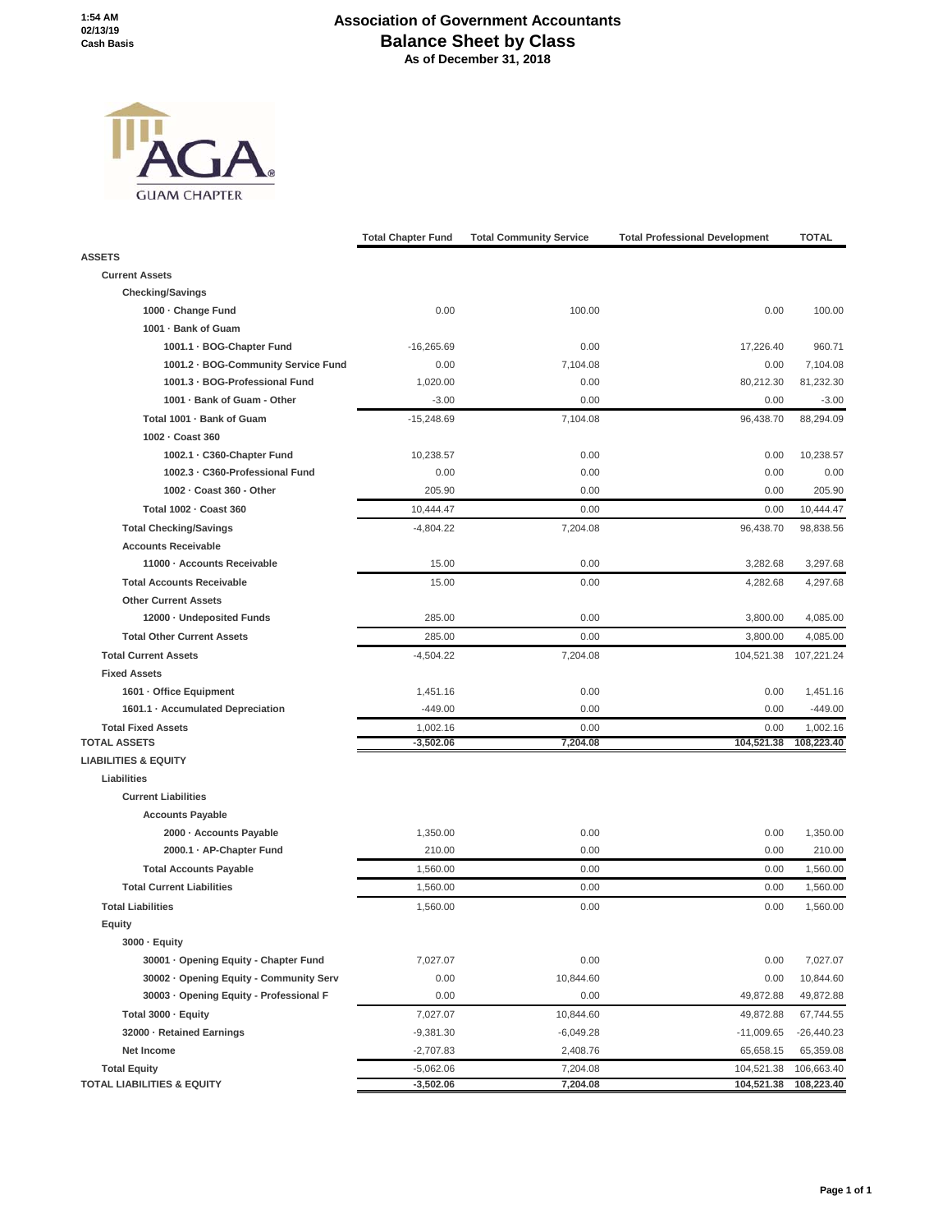## **Association of Government Accountants Balance Sheet by Class As of December 31, 2018**



|                                         | <b>Total Chapter Fund</b> | <b>Total Community Service</b> | <b>Total Professional Development</b> | <b>TOTAL</b> |
|-----------------------------------------|---------------------------|--------------------------------|---------------------------------------|--------------|
| <b>ASSETS</b>                           |                           |                                |                                       |              |
| <b>Current Assets</b>                   |                           |                                |                                       |              |
| <b>Checking/Savings</b>                 |                           |                                |                                       |              |
| 1000 - Change Fund                      | 0.00                      | 100.00                         | 0.00                                  | 100.00       |
| 1001 - Bank of Guam                     |                           |                                |                                       |              |
| 1001.1 · BOG-Chapter Fund               | $-16,265.69$              | 0.00                           | 17,226.40                             | 960.71       |
| 1001.2 · BOG-Community Service Fund     | 0.00                      | 7,104.08                       | 0.00                                  | 7,104.08     |
| 1001.3 - BOG-Professional Fund          | 1,020.00                  | 0.00                           | 80,212.30                             | 81,232.30    |
| 1001 · Bank of Guam - Other             | $-3.00$                   | 0.00                           | 0.00                                  | $-3.00$      |
| Total 1001 - Bank of Guam               | $-15,248.69$              | 7,104.08                       | 96,438.70                             | 88,294.09    |
| 1002 - Coast 360                        |                           |                                |                                       |              |
| 1002.1 · C360-Chapter Fund              | 10,238.57                 | 0.00                           | 0.00                                  | 10,238.57    |
| 1002.3 - C360-Professional Fund         | 0.00                      | 0.00                           | 0.00                                  | 0.00         |
| 1002 - Coast 360 - Other                | 205.90                    | 0.00                           | 0.00                                  | 205.90       |
| Total 1002 - Coast 360                  | 10,444.47                 | 0.00                           | 0.00                                  | 10,444.47    |
| <b>Total Checking/Savings</b>           | $-4,804.22$               | 7,204.08                       | 96,438.70                             | 98,838.56    |
| <b>Accounts Receivable</b>              |                           |                                |                                       |              |
| 11000 - Accounts Receivable             | 15.00                     | 0.00                           | 3,282.68                              | 3,297.68     |
| <b>Total Accounts Receivable</b>        | 15.00                     | 0.00                           | 4,282.68                              | 4.297.68     |
| <b>Other Current Assets</b>             |                           |                                |                                       |              |
| 12000 · Undeposited Funds               | 285.00                    | 0.00                           | 3,800.00                              | 4,085.00     |
| <b>Total Other Current Assets</b>       | 285.00                    | 0.00                           | 3,800.00                              | 4.085.00     |
| <b>Total Current Assets</b>             | $-4,504.22$               | 7,204.08                       | 104,521.38                            | 107,221.24   |
| <b>Fixed Assets</b>                     |                           |                                |                                       |              |
| 1601 · Office Equipment                 | 1,451.16                  | 0.00                           | 0.00                                  | 1,451.16     |
| 1601.1 · Accumulated Depreciation       | $-449.00$                 | 0.00                           | 0.00                                  | $-449.00$    |
| <b>Total Fixed Assets</b>               | 1,002.16                  | 0.00                           | 0.00                                  | 1,002.16     |
| <b>TOTAL ASSETS</b>                     | $-3,502.06$               | 7,204.08                       | 104,521.38                            | 108,223.40   |
| <b>LIABILITIES &amp; EQUITY</b>         |                           |                                |                                       |              |
| Liabilities                             |                           |                                |                                       |              |
| <b>Current Liabilities</b>              |                           |                                |                                       |              |
| <b>Accounts Payable</b>                 |                           |                                |                                       |              |
| 2000 - Accounts Payable                 | 1,350.00                  | 0.00                           | 0.00                                  | 1,350.00     |
| 2000.1 · AP-Chapter Fund                | 210.00                    | 0.00                           | 0.00                                  | 210.00       |
| <b>Total Accounts Payable</b>           | 1,560.00                  | 0.00                           | 0.00                                  | 1,560.00     |
| <b>Total Current Liabilities</b>        | 1,560.00                  | 0.00                           | 0.00                                  | 1,560.00     |
| <b>Total Liabilities</b>                | 1,560.00                  | 0.00                           | 0.00                                  | 1,560.00     |
| Equity                                  |                           |                                |                                       |              |
| 3000 · Equity                           |                           |                                |                                       |              |
| 30001 · Opening Equity - Chapter Fund   | 7,027.07                  | 0.00                           | 0.00                                  | 7,027.07     |
| 30002 · Opening Equity - Community Serv | 0.00                      | 10,844.60                      | 0.00                                  | 10,844.60    |
| 30003 · Opening Equity - Professional F | 0.00                      | 0.00                           | 49,872.88                             | 49,872.88    |
| Total 3000 - Equity                     | 7,027.07                  | 10,844.60                      | 49,872.88                             | 67,744.55    |
| 32000 - Retained Earnings               | $-9,381.30$               | $-6,049.28$                    | $-11,009.65$                          | $-26,440.23$ |
| Net Income                              | $-2,707.83$               | 2,408.76                       | 65,658.15                             | 65,359.08    |
| <b>Total Equity</b>                     | $-5,062.06$               | 7,204.08                       | 104,521.38                            | 106,663.40   |
| <b>TOTAL LIABILITIES &amp; EQUITY</b>   | $-3,502.06$               | 7,204.08                       | 104,521.38                            | 108,223.40   |